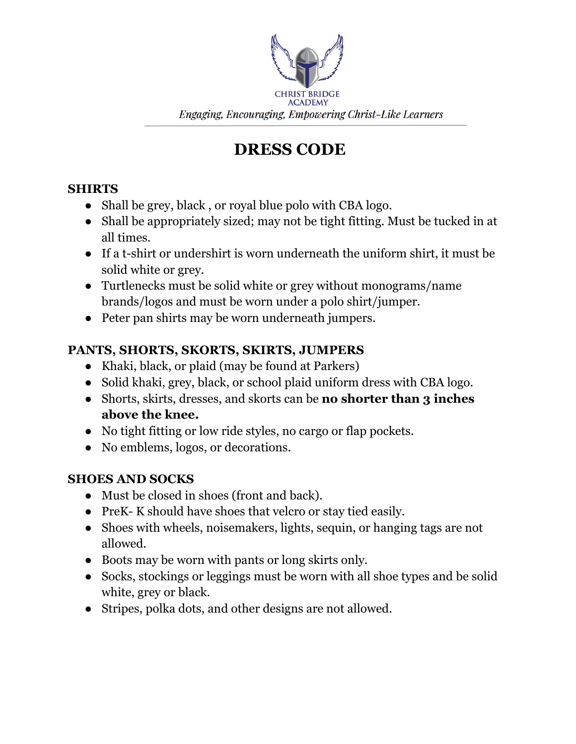

# **DRESS CODE**

## **SHIRTS**

- Shall be grey, black, or royal blue polo with CBA logo.
- Shall be appropriately sized; may not be tight fitting. Must be tucked in at all times.
- If a t-shirt or undershirt is worn underneath the uniform shirt, it must be solid white or grey.
- Turtlenecks must be solid white or grey without monograms/name brands/logos and must be worn under a polo shirt/jumper.
- Peter pan shirts may be worn underneath jumpers.

## **PANTS, SHORTS, SKORTS, SKIRTS, JUMPERS**

- Khaki, black, or plaid (may be found at Parkers)
- Solid khaki, grey, black, or school plaid uniform dress with CBA logo.
- Shorts, skirts, dresses, and skorts can be **no shorter than 3 inches above the knee.**
- No tight fitting or low ride styles, no cargo or flap pockets.
- No emblems, logos, or decorations.

## **SHOES AND SOCKS**

- Must be closed in shoes (front and back).
- PreK- K should have shoes that velcro or stay tied easily.
- Shoes with wheels, noisemakers, lights, sequin, or hanging tags are not allowed.
- Boots may be worn with pants or long skirts only.
- Socks, stockings or leggings must be worn with all shoe types and be solid white, grey or black.
- Stripes, polka dots, and other designs are not allowed.